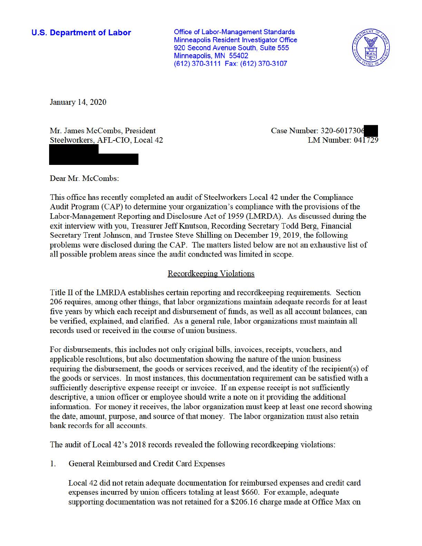## **U.S. Department of Labor**

Office of Labor-Management Standards Minneapolis Resident Investigator Office 920 Second Avenue South, Suite 555 Minneapolis, MN 55402 (612) 370-3111 Fax: (612) 370-3107



January 14, 2020

Mr. James McCombs, President Steelworkers, AFL-CIO, Local 42 Case Number: 320-6017306 LM Number: 041729

Dear Mr. McCombs:

This office has recently completed an audit of Steelworkers Local 42 under the Compliance Audit Program (CAP) to determine your organization's compliance with the provisions of the Labor-Management Reporting and Disclosure Act of 1959 (LMRDA). As discussed during the exit interview with you, Treasurer Jeff Knutson, Recording Secretary Todd Berg, Financial Secretary Trent Johnson, and Trustee Steve Shilling on December 19, 2019, the following problems were disclosed during the CAP. The matters listed below are not an exhaustive list of all possible problem areas since the audit conducted was limited in scope.

## Recordkeeping Violations

Title II of the LMRDA establishes certain reporting and recordkeeping requirements. Section 206 requires, ainong other things, that labor organizations maintain adequate records for at least five years by which each receipt and disbursement of funds, as well as all account balances, can be verified, explained, and clarified. As a general rule, labor organizations must maintain all records used or received in the course of union business.

For disbursements, this includes not only original bills, invoices, receipts, vouchers, and applicable resolutions, but also documentation showing the nature of the union business requiring the disbursement, the goods or services received, and the identity of the recipient(s) of the goods or services. In most instances, this documentation requirement can be satisfied with a sufficiently descriptive expense receipt or invoice. If an expense receipt is not sufficiently descriptive, a union officer or employee should write a note on it providing the additional information. For money it receives, the labor organization must keep at least one record showing the date, amount, purpose, and source of that money. The labor organization must also retain bank records for all accounts.

The audit of Local 42's 2018 records revealed the following record keeping violations:

1. General Reimbursed and Credit Card Expenses

Local 42 did not retain adequate documentation for reimbursed expenses and credit card expenses incurred by union officers totaling at least \$660. For example, adequate supporting documentation was not retained for a \$206.16 charge made at Office Max on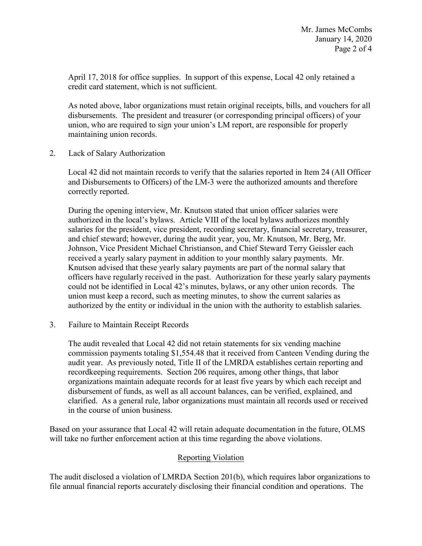April 17, 2018 for office supplies. In support of this expense, Local 42 only retained a credit card statement, which is not sufficient.

 disbursements. The president and treasurer (or corresponding principal officers) of your As noted above, labor organizations must retain original receipts, bills, and vouchers for all union, who are required to sign your union's LM report, are responsible for properly maintaining union records.

2. Lack of Salary Authorization

 Local 42 did not maintain records to verify that the salaries reported in Item 24 (All Officer and Disbursements to Officers) of the LM-3 were the authorized amounts and therefore correctly reported.

 During the opening interview, Mr. Knutson stated that union officer salaries were authorized in the local's bylaws. Article VIII of the local bylaws authorizes monthly union must keep a record, such as meeting minutes, to show the current salaries as salaries for the president, vice president, recording secretary, financial secretary, treasurer, and chief steward; however, during the audit year, you, Mr. Knutson, Mr. Berg, Mr. Johnson, Vice President Michael Christianson, and Chief Steward Terry Geissler each received a yearly salary payment in addition to your monthly salary payments. Mr. Knutson advised that these yearly salary payments are part of the normal salary that officers have regularly received in the past. Authorization for these yearly salary payments could not be identified in Local 42's minutes, bylaws, or any other union records. The authorized by the entity or individual in the union with the authority to establish salaries.

3. Failure to Maintain Receipt Records

 commission payments totaling \$[1,554.48](https://1,554.48) that it received from Canteen Vending during the audit year. As previously noted, Title II of the LMRDA establishes certain reporting and clarified. As a general rule, labor organizations must maintain all records used or received The audit revealed that Local 42 did not retain statements for six vending machine recordkeeping requirements. Section 206 requires, among other things, that labor organizations maintain adequate records for at least five years by which each receipt and disbursement of funds, as well as all account balances, can be verified, explained, and in the course of union business.

 Based on your assurance that Local 42 will retain adequate documentation in the future, OLMS will take no further enforcement action at this time regarding the above violations.

## Reporting Violation

The audit disclosed a violation of LMRDA Section 201(b), which requires labor organizations to file annual financial reports accurately disclosing their financial condition and operations. The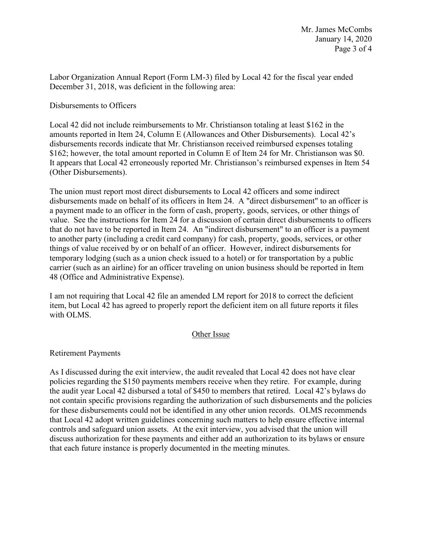Labor Organization Annual Report (Form LM-3) filed by Local 42 for the fiscal year ended December 31, 2018, was deficient in the following area:

Disbursements to Officers

 Local 42 did not include reimbursements to Mr. Christianson totaling at least \$162 in the amounts reported in Item 24, Column E (Allowances and Other Disbursements). Local 42's disbursements records indicate that Mr. Christianson received reimbursed expenses totaling \$162; however, the total amount reported in Column E of Item 24 for Mr. Christianson was \$0. It appears that Local 42 erroneously reported Mr. Christianson's reimbursed expenses in Item 54 (Other Disbursements).

 value. See the instructions for Item 24 for a discussion of certain direct disbursements to officers that do not have to be reported in Item 24. An "indirect disbursement" to an officer is a payment The union must report most direct disbursements to Local 42 officers and some indirect disbursements made on behalf of its officers in Item 24. A "direct disbursement" to an officer is a payment made to an officer in the form of cash, property, goods, services, or other things of to another party (including a credit card company) for cash, property, goods, services, or other things of value received by or on behalf of an officer. However, indirect disbursements for temporary lodging (such as a union check issued to a hotel) or for transportation by a public carrier (such as an airline) for an officer traveling on union business should be reported in Item 48 (Office and Administrative Expense).

I am not requiring that Local 42 file an amended LM report for 2018 to correct the deficient item, but Local 42 has agreed to properly report the deficient item on all future reports it files with OLMS.

## Other Issue

Retirement Payments

 the audit year Local 42 disbursed a total of \$450 to members that retired. Local 42's bylaws do discuss authorization for these payments and either add an authorization to its bylaws or ensure As I discussed during the exit interview, the audit revealed that Local 42 does not have clear policies regarding the \$150 payments members receive when they retire. For example, during not contain specific provisions regarding the authorization of such disbursements and the policies for these disbursements could not be identified in any other union records. OLMS recommends that Local 42 adopt written guidelines concerning such matters to help ensure effective internal controls and safeguard union assets. At the exit interview, you advised that the union will that each future instance is properly documented in the meeting minutes.